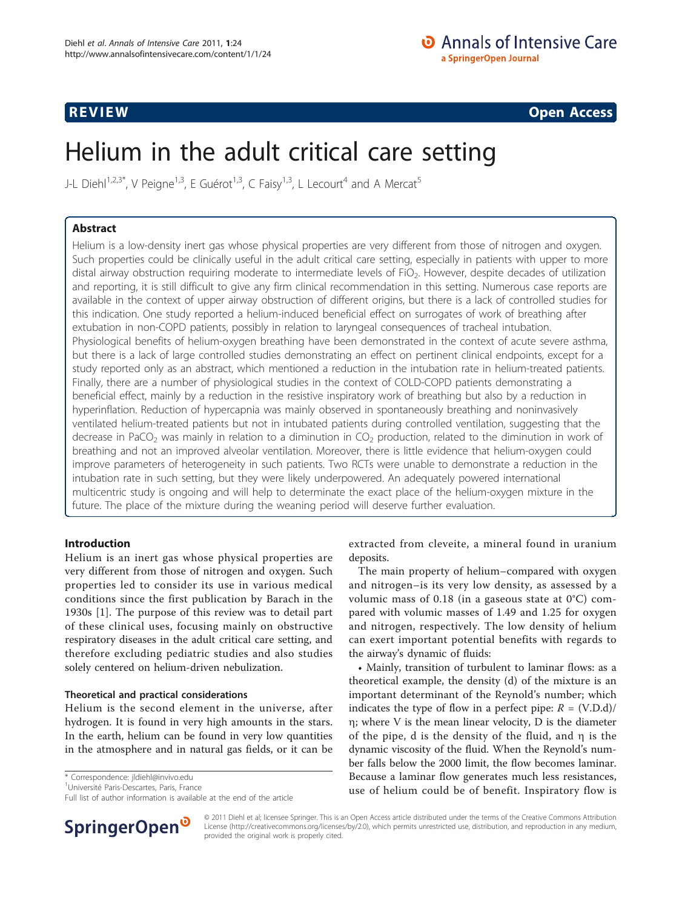**REVIEW REVIEW CONSTRUCTER CONSTRUCTION** 

# Helium in the adult critical care setting

J-L Diehl<sup>1,2,3\*</sup>, V Peigne<sup>1,3</sup>, E Guérot<sup>1,3</sup>, C Faisy<sup>1,3</sup>, L Lecourt<sup>4</sup> and A Mercat<sup>5</sup>

## Abstract

Helium is a low-density inert gas whose physical properties are very different from those of nitrogen and oxygen. Such properties could be clinically useful in the adult critical care setting, especially in patients with upper to more distal airway obstruction requiring moderate to intermediate levels of FiO<sub>2</sub>. However, despite decades of utilization and reporting, it is still difficult to give any firm clinical recommendation in this setting. Numerous case reports are available in the context of upper airway obstruction of different origins, but there is a lack of controlled studies for this indication. One study reported a helium-induced beneficial effect on surrogates of work of breathing after extubation in non-COPD patients, possibly in relation to laryngeal consequences of tracheal intubation. Physiological benefits of helium-oxygen breathing have been demonstrated in the context of acute severe asthma, but there is a lack of large controlled studies demonstrating an effect on pertinent clinical endpoints, except for a study reported only as an abstract, which mentioned a reduction in the intubation rate in helium-treated patients. Finally, there are a number of physiological studies in the context of COLD-COPD patients demonstrating a beneficial effect, mainly by a reduction in the resistive inspiratory work of breathing but also by a reduction in hyperinflation. Reduction of hypercapnia was mainly observed in spontaneously breathing and noninvasively ventilated helium-treated patients but not in intubated patients during controlled ventilation, suggesting that the decrease in PaCO<sub>2</sub> was mainly in relation to a diminution in CO<sub>2</sub> production, related to the diminution in work of breathing and not an improved alveolar ventilation. Moreover, there is little evidence that helium-oxygen could improve parameters of heterogeneity in such patients. Two RCTs were unable to demonstrate a reduction in the intubation rate in such setting, but they were likely underpowered. An adequately powered international multicentric study is ongoing and will help to determinate the exact place of the helium-oxygen mixture in the future. The place of the mixture during the weaning period will deserve further evaluation.

## Introduction

Helium is an inert gas whose physical properties are very different from those of nitrogen and oxygen. Such properties led to consider its use in various medical conditions since the first publication by Barach in the 1930s [[1\]](#page-4-0). The purpose of this review was to detail part of these clinical uses, focusing mainly on obstructive respiratory diseases in the adult critical care setting, and therefore excluding pediatric studies and also studies solely centered on helium-driven nebulization.

## Theoretical and practical considerations

Helium is the second element in the universe, after hydrogen. It is found in very high amounts in the stars. In the earth, helium can be found in very low quantities in the atmosphere and in natural gas fields, or it can be

\* Correspondence: [jldiehl@invivo.edu](mailto:jldiehl@invivo.edu)

<sup>1</sup>Université Paris-Descartes, Paris, France

Full list of author information is available at the end of the article



extracted from cleveite, a mineral found in uranium deposits.

The main property of helium–compared with oxygen and nitrogen–is its very low density, as assessed by a volumic mass of 0.18 (in a gaseous state at 0°C) compared with volumic masses of 1.49 and 1.25 for oxygen and nitrogen, respectively. The low density of helium can exert important potential benefits with regards to the airway's dynamic of fluids:

• Mainly, transition of turbulent to laminar flows: as a theoretical example, the density (d) of the mixture is an important determinant of the Reynold's number; which indicates the type of flow in a perfect pipe:  $R = (V.D.d)/$ h; where V is the mean linear velocity, D is the diameter of the pipe, d is the density of the fluid, and  $\eta$  is the dynamic viscosity of the fluid. When the Reynold's number falls below the 2000 limit, the flow becomes laminar. Because a laminar flow generates much less resistances, use of helium could be of benefit. Inspiratory flow is

© 2011 Diehl et al; licensee Springer. This is an Open Access article distributed under the terms of the Creative Commons Attribution License [\(http://creativecommons.org/licenses/by/2.0](http://creativecommons.org/licenses/by/2.0)), which permits unrestricted use, distribution, and reproduction in any medium, provided the original work is properly cited.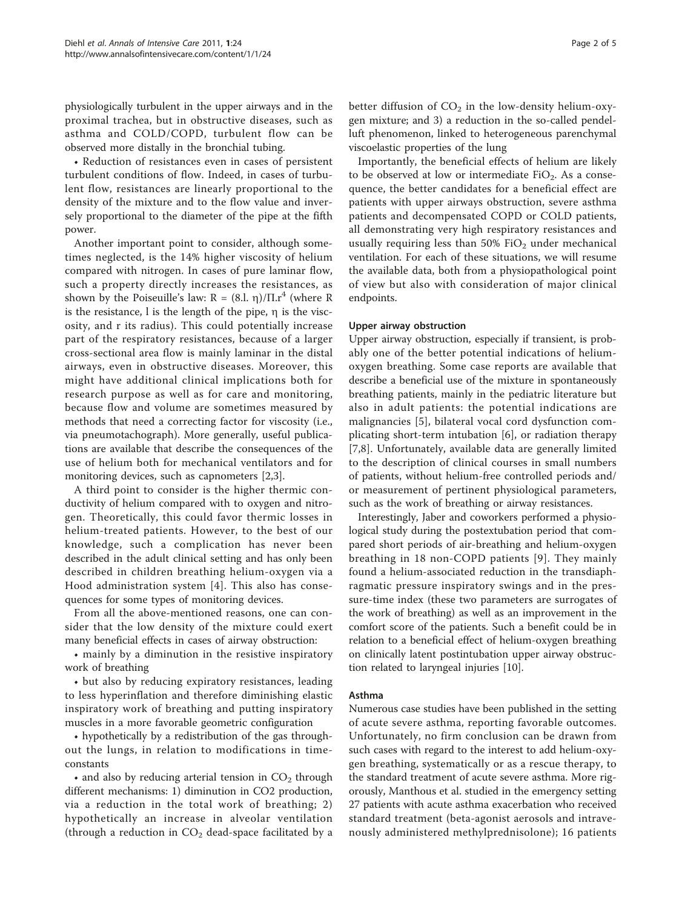physiologically turbulent in the upper airways and in the proximal trachea, but in obstructive diseases, such as asthma and COLD/COPD, turbulent flow can be observed more distally in the bronchial tubing.

• Reduction of resistances even in cases of persistent turbulent conditions of flow. Indeed, in cases of turbulent flow, resistances are linearly proportional to the density of the mixture and to the flow value and inversely proportional to the diameter of the pipe at the fifth power.

Another important point to consider, although sometimes neglected, is the 14% higher viscosity of helium compared with nitrogen. In cases of pure laminar flow, such a property directly increases the resistances, as shown by the Poiseuille's law:  $R = (8.1, \eta)/\Pi.r^4$  (where R is the resistance,  $l$  is the length of the pipe,  $\eta$  is the viscosity, and r its radius). This could potentially increase part of the respiratory resistances, because of a larger cross-sectional area flow is mainly laminar in the distal airways, even in obstructive diseases. Moreover, this might have additional clinical implications both for research purpose as well as for care and monitoring, because flow and volume are sometimes measured by methods that need a correcting factor for viscosity (i.e., via pneumotachograph). More generally, useful publications are available that describe the consequences of the use of helium both for mechanical ventilators and for monitoring devices, such as capnometers [[2,3\]](#page-4-0).

A third point to consider is the higher thermic conductivity of helium compared with to oxygen and nitrogen. Theoretically, this could favor thermic losses in helium-treated patients. However, to the best of our knowledge, such a complication has never been described in the adult clinical setting and has only been described in children breathing helium-oxygen via a Hood administration system [[4](#page-4-0)]. This also has consequences for some types of monitoring devices.

From all the above-mentioned reasons, one can consider that the low density of the mixture could exert many beneficial effects in cases of airway obstruction:

• mainly by a diminution in the resistive inspiratory work of breathing

• but also by reducing expiratory resistances, leading to less hyperinflation and therefore diminishing elastic inspiratory work of breathing and putting inspiratory muscles in a more favorable geometric configuration

• hypothetically by a redistribution of the gas throughout the lungs, in relation to modifications in timeconstants

• and also by reducing arterial tension in  $CO<sub>2</sub>$  through different mechanisms: 1) diminution in CO2 production, via a reduction in the total work of breathing; 2) hypothetically an increase in alveolar ventilation (through a reduction in  $CO<sub>2</sub>$  dead-space facilitated by a better diffusion of  $CO<sub>2</sub>$  in the low-density helium-oxygen mixture; and 3) a reduction in the so-called pendelluft phenomenon, linked to heterogeneous parenchymal viscoelastic properties of the lung

Importantly, the beneficial effects of helium are likely to be observed at low or intermediate  $FiO<sub>2</sub>$ . As a consequence, the better candidates for a beneficial effect are patients with upper airways obstruction, severe asthma patients and decompensated COPD or COLD patients, all demonstrating very high respiratory resistances and usually requiring less than 50%  $FiO<sub>2</sub>$  under mechanical ventilation. For each of these situations, we will resume the available data, both from a physiopathological point of view but also with consideration of major clinical endpoints.

## Upper airway obstruction

Upper airway obstruction, especially if transient, is probably one of the better potential indications of heliumoxygen breathing. Some case reports are available that describe a beneficial use of the mixture in spontaneously breathing patients, mainly in the pediatric literature but also in adult patients: the potential indications are malignancies [[5\]](#page-4-0), bilateral vocal cord dysfunction complicating short-term intubation [\[6](#page-4-0)], or radiation therapy [[7,8](#page-4-0)]. Unfortunately, available data are generally limited to the description of clinical courses in small numbers of patients, without helium-free controlled periods and/ or measurement of pertinent physiological parameters, such as the work of breathing or airway resistances.

Interestingly, Jaber and coworkers performed a physiological study during the postextubation period that compared short periods of air-breathing and helium-oxygen breathing in 18 non-COPD patients [[9\]](#page-4-0). They mainly found a helium-associated reduction in the transdiaphragmatic pressure inspiratory swings and in the pressure-time index (these two parameters are surrogates of the work of breathing) as well as an improvement in the comfort score of the patients. Such a benefit could be in relation to a beneficial effect of helium-oxygen breathing on clinically latent postintubation upper airway obstruction related to laryngeal injuries [\[10](#page-4-0)].

## Asthma

Numerous case studies have been published in the setting of acute severe asthma, reporting favorable outcomes. Unfortunately, no firm conclusion can be drawn from such cases with regard to the interest to add helium-oxygen breathing, systematically or as a rescue therapy, to the standard treatment of acute severe asthma. More rigorously, Manthous et al. studied in the emergency setting 27 patients with acute asthma exacerbation who received standard treatment (beta-agonist aerosols and intravenously administered methylprednisolone); 16 patients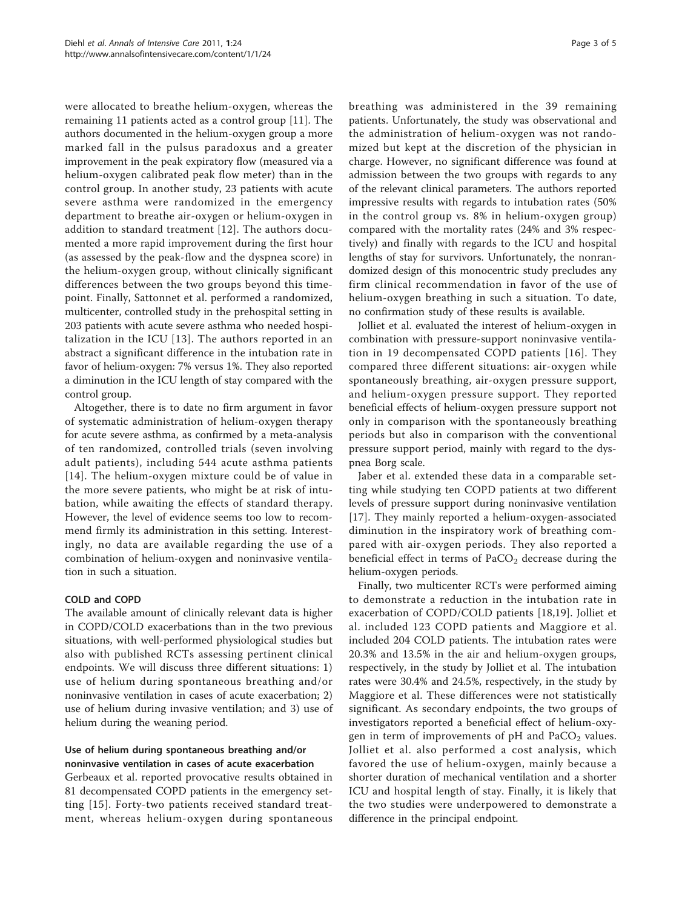were allocated to breathe helium-oxygen, whereas the remaining 11 patients acted as a control group [[11\]](#page-4-0). The authors documented in the helium-oxygen group a more marked fall in the pulsus paradoxus and a greater improvement in the peak expiratory flow (measured via a helium-oxygen calibrated peak flow meter) than in the control group. In another study, 23 patients with acute severe asthma were randomized in the emergency department to breathe air-oxygen or helium-oxygen in addition to standard treatment [\[12](#page-4-0)]. The authors documented a more rapid improvement during the first hour (as assessed by the peak-flow and the dyspnea score) in the helium-oxygen group, without clinically significant differences between the two groups beyond this timepoint. Finally, Sattonnet et al. performed a randomized, multicenter, controlled study in the prehospital setting in 203 patients with acute severe asthma who needed hospitalization in the ICU [[13\]](#page-4-0). The authors reported in an abstract a significant difference in the intubation rate in favor of helium-oxygen: 7% versus 1%. They also reported a diminution in the ICU length of stay compared with the control group.

Altogether, there is to date no firm argument in favor of systematic administration of helium-oxygen therapy for acute severe asthma, as confirmed by a meta-analysis of ten randomized, controlled trials (seven involving adult patients), including 544 acute asthma patients [[14](#page-4-0)]. The helium-oxygen mixture could be of value in the more severe patients, who might be at risk of intubation, while awaiting the effects of standard therapy. However, the level of evidence seems too low to recommend firmly its administration in this setting. Interestingly, no data are available regarding the use of a combination of helium-oxygen and noninvasive ventilation in such a situation.

## COLD and COPD

The available amount of clinically relevant data is higher in COPD/COLD exacerbations than in the two previous situations, with well-performed physiological studies but also with published RCTs assessing pertinent clinical endpoints. We will discuss three different situations: 1) use of helium during spontaneous breathing and/or noninvasive ventilation in cases of acute exacerbation; 2) use of helium during invasive ventilation; and 3) use of helium during the weaning period.

## Use of helium during spontaneous breathing and/or noninvasive ventilation in cases of acute exacerbation

Gerbeaux et al. reported provocative results obtained in 81 decompensated COPD patients in the emergency setting [[15](#page-4-0)]. Forty-two patients received standard treatment, whereas helium-oxygen during spontaneous breathing was administered in the 39 remaining patients. Unfortunately, the study was observational and the administration of helium-oxygen was not randomized but kept at the discretion of the physician in charge. However, no significant difference was found at admission between the two groups with regards to any of the relevant clinical parameters. The authors reported impressive results with regards to intubation rates (50% in the control group vs. 8% in helium-oxygen group) compared with the mortality rates (24% and 3% respectively) and finally with regards to the ICU and hospital lengths of stay for survivors. Unfortunately, the nonrandomized design of this monocentric study precludes any firm clinical recommendation in favor of the use of helium-oxygen breathing in such a situation. To date, no confirmation study of these results is available.

Jolliet et al. evaluated the interest of helium-oxygen in combination with pressure-support noninvasive ventilation in 19 decompensated COPD patients [[16](#page-4-0)]. They compared three different situations: air-oxygen while spontaneously breathing, air-oxygen pressure support, and helium-oxygen pressure support. They reported beneficial effects of helium-oxygen pressure support not only in comparison with the spontaneously breathing periods but also in comparison with the conventional pressure support period, mainly with regard to the dyspnea Borg scale.

Jaber et al. extended these data in a comparable setting while studying ten COPD patients at two different levels of pressure support during noninvasive ventilation [[17](#page-4-0)]. They mainly reported a helium-oxygen-associated diminution in the inspiratory work of breathing compared with air-oxygen periods. They also reported a beneficial effect in terms of  $PaCO<sub>2</sub>$  decrease during the helium-oxygen periods.

Finally, two multicenter RCTs were performed aiming to demonstrate a reduction in the intubation rate in exacerbation of COPD/COLD patients [[18,19\]](#page-4-0). Jolliet et al. included 123 COPD patients and Maggiore et al. included 204 COLD patients. The intubation rates were 20.3% and 13.5% in the air and helium-oxygen groups, respectively, in the study by Jolliet et al. The intubation rates were 30.4% and 24.5%, respectively, in the study by Maggiore et al. These differences were not statistically significant. As secondary endpoints, the two groups of investigators reported a beneficial effect of helium-oxygen in term of improvements of pH and  $PaCO<sub>2</sub>$  values. Jolliet et al. also performed a cost analysis, which favored the use of helium-oxygen, mainly because a shorter duration of mechanical ventilation and a shorter ICU and hospital length of stay. Finally, it is likely that the two studies were underpowered to demonstrate a difference in the principal endpoint.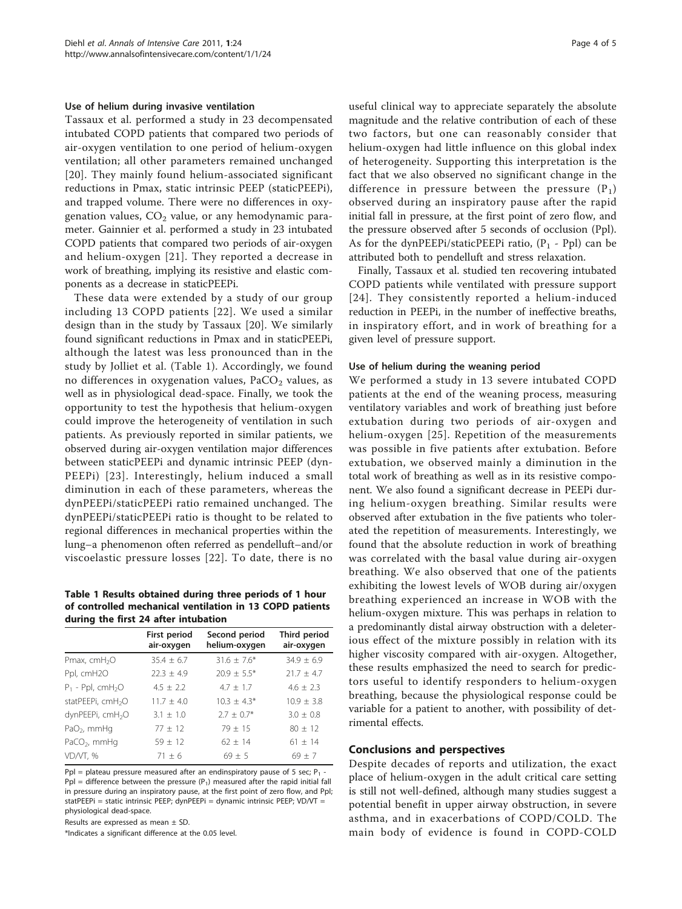## Use of helium during invasive ventilation

Tassaux et al. performed a study in 23 decompensated intubated COPD patients that compared two periods of air-oxygen ventilation to one period of helium-oxygen ventilation; all other parameters remained unchanged [[20](#page-4-0)]. They mainly found helium-associated significant reductions in Pmax, static intrinsic PEEP (staticPEEPi), and trapped volume. There were no differences in oxygenation values,  $CO<sub>2</sub>$  value, or any hemodynamic parameter. Gainnier et al. performed a study in 23 intubated COPD patients that compared two periods of air-oxygen and helium-oxygen [[21\]](#page-4-0). They reported a decrease in work of breathing, implying its resistive and elastic components as a decrease in staticPEEPi.

These data were extended by a study of our group including 13 COPD patients [[22](#page-4-0)]. We used a similar design than in the study by Tassaux [[20\]](#page-4-0). We similarly found significant reductions in Pmax and in staticPEEPi, although the latest was less pronounced than in the study by Jolliet et al. (Table 1). Accordingly, we found no differences in oxygenation values,  $PaCO<sub>2</sub>$  values, as well as in physiological dead-space. Finally, we took the opportunity to test the hypothesis that helium-oxygen could improve the heterogeneity of ventilation in such patients. As previously reported in similar patients, we observed during air-oxygen ventilation major differences between staticPEEPi and dynamic intrinsic PEEP (dyn-PEEPi) [[23](#page-4-0)]. Interestingly, helium induced a small diminution in each of these parameters, whereas the dynPEEPi/staticPEEPi ratio remained unchanged. The dynPEEPi/staticPEEPi ratio is thought to be related to regional differences in mechanical properties within the lung–a phenomenon often referred as pendelluft–and/or viscoelastic pressure losses [[22\]](#page-4-0). To date, there is no

Table 1 Results obtained during three periods of 1 hour of controlled mechanical ventilation in 13 COPD patients during the first 24 after intubation

|                                 | First period<br>air-oxygen | Second period<br>helium-oxygen | Third period<br>air-oxygen |
|---------------------------------|----------------------------|--------------------------------|----------------------------|
| Pmax, cmH <sub>2</sub> O        | $35.4 \pm 6.7$             | $31.6 \pm 7.6*$                | $34.9 \pm 6.9$             |
| Ppl, cmH2O                      | $22.3 + 4.9$               | $20.9 + 5.5*$                  | $21.7 + 4.7$               |
| $P_1$ - Ppl, cmH <sub>2</sub> O | $4.5 + 2.2$                | $4.7 + 1.7$                    | $4.6 + 2.3$                |
| statPEEPi, cmH <sub>2</sub> O   | $11.7 + 4.0$               | $10.3 + 4.3*$                  | $10.9 + 3.8$               |
| dynPEEPi, cmH <sub>2</sub> O    | $3.1 + 1.0$                | $2.7 \pm 0.7$ *                | $3.0 + 0.8$                |
| PaO <sub>2</sub> , mmHq         | $77 + 12$                  | $79 + 15$                      | $80 + 12$                  |
| PaCO <sub>2</sub> , mmHq        | $59 + 12$                  | $62 + 14$                      | $61 \pm 14$                |
| VD/VT, %                        | $71 + 6$                   | $69 + 5$                       | $69 + 7$                   |

Ppl = plateau pressure measured after an endinspiratory pause of 5 sec;  $P_1$ Ppl = difference between the pressure  $(P_1)$  measured after the rapid initial fall in pressure during an inspiratory pause, at the first point of zero flow, and Ppl; statPEEPi = static intrinsic PEEP; dynPEEPi = dynamic intrinsic PEEP; VD/VT = physiological dead-space.

Results are expressed as mean ± SD.

\*Indicates a significant difference at the 0.05 level.

useful clinical way to appreciate separately the absolute magnitude and the relative contribution of each of these two factors, but one can reasonably consider that helium-oxygen had little influence on this global index of heterogeneity. Supporting this interpretation is the fact that we also observed no significant change in the difference in pressure between the pressure  $(P_1)$ observed during an inspiratory pause after the rapid initial fall in pressure, at the first point of zero flow, and the pressure observed after 5 seconds of occlusion (Ppl). As for the dynPEEPi/staticPEEPi ratio,  $(P_1 - P_1)$  can be attributed both to pendelluft and stress relaxation.

Finally, Tassaux et al. studied ten recovering intubated COPD patients while ventilated with pressure support [[24](#page-4-0)]. They consistently reported a helium-induced reduction in PEEPi, in the number of ineffective breaths, in inspiratory effort, and in work of breathing for a given level of pressure support.

## Use of helium during the weaning period

We performed a study in 13 severe intubated COPD patients at the end of the weaning process, measuring ventilatory variables and work of breathing just before extubation during two periods of air-oxygen and helium-oxygen [[25](#page-4-0)]. Repetition of the measurements was possible in five patients after extubation. Before extubation, we observed mainly a diminution in the total work of breathing as well as in its resistive component. We also found a significant decrease in PEEPi during helium-oxygen breathing. Similar results were observed after extubation in the five patients who tolerated the repetition of measurements. Interestingly, we found that the absolute reduction in work of breathing was correlated with the basal value during air-oxygen breathing. We also observed that one of the patients exhibiting the lowest levels of WOB during air/oxygen breathing experienced an increase in WOB with the helium-oxygen mixture. This was perhaps in relation to a predominantly distal airway obstruction with a deleterious effect of the mixture possibly in relation with its higher viscosity compared with air-oxygen. Altogether, these results emphasized the need to search for predictors useful to identify responders to helium-oxygen breathing, because the physiological response could be variable for a patient to another, with possibility of detrimental effects.

## Conclusions and perspectives

Despite decades of reports and utilization, the exact place of helium-oxygen in the adult critical care setting is still not well-defined, although many studies suggest a potential benefit in upper airway obstruction, in severe asthma, and in exacerbations of COPD/COLD. The main body of evidence is found in COPD-COLD